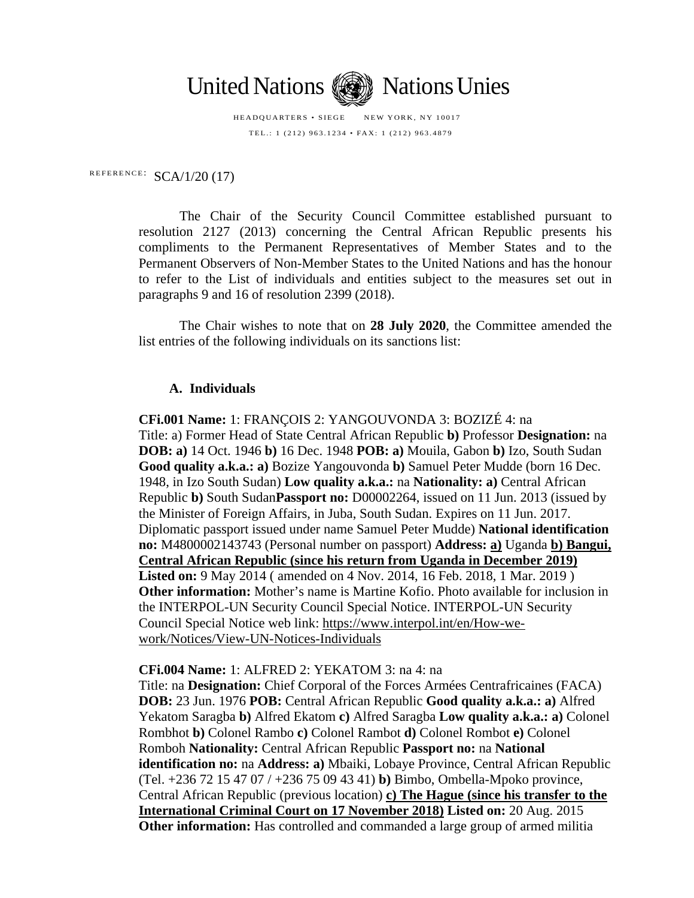

HEADQUARTERS • SIEGE NEW YORK, NY 10017 TEL.: 1 (212) 963.1234 • FAX: 1 (212) 963.4879

REFERENCE:  $SCA/1/20$  (17)

The Chair of the Security Council Committee established pursuant to resolution 2127 (2013) concerning the Central African Republic presents his compliments to the Permanent Representatives of Member States and to the Permanent Observers of Non-Member States to the United Nations and has the honour to refer to the List of individuals and entities subject to the measures set out in paragraphs 9 and 16 of resolution 2399 (2018).

The Chair wishes to note that on **28 July 2020**, the Committee amended the list entries of the following individuals on its sanctions list:

## **A. Individuals**

**CFi.001 Name:** 1: FRANÇOIS 2: YANGOUVONDA 3: BOZIZÉ 4: na Title: a) Former Head of State Central African Republic **b)** Professor **Designation:** na **DOB: a)** 14 Oct. 1946 **b)** 16 Dec. 1948 **POB: a)** Mouila, Gabon **b)** Izo, South Sudan **Good quality a.k.a.: a)** Bozize Yangouvonda **b)** Samuel Peter Mudde (born 16 Dec. 1948, in Izo South Sudan) **Low quality a.k.a.:** na **Nationality: a)** Central African Republic **b)** South Sudan**Passport no:** D00002264, issued on 11 Jun. 2013 (issued by the Minister of Foreign Affairs, in Juba, South Sudan. Expires on 11 Jun. 2017. Diplomatic passport issued under name Samuel Peter Mudde) **National identification no:** M4800002143743 (Personal number on passport) **Address: a)** Uganda **b) Bangui, Central African Republic (since his return from Uganda in December 2019) Listed on:** 9 May 2014 ( amended on 4 Nov. 2014, 16 Feb. 2018, 1 Mar. 2019 ) **Other information:** Mother's name is Martine Kofio. Photo available for inclusion in the INTERPOL-UN Security Council Special Notice. INTERPOL-UN Security Council Special Notice web link: [https://www.interpol.int/en/How-we](https://www.interpol.int/en/How-we-work/Notices/View-UN-Notices-Individuals)[work/Notices/View-UN-Notices-Individuals](https://www.interpol.int/en/How-we-work/Notices/View-UN-Notices-Individuals)

**CFi.004 Name:** 1: ALFRED 2: YEKATOM 3: na 4: na

Title: na **Designation:** Chief Corporal of the Forces Armées Centrafricaines (FACA) **DOB:** 23 Jun. 1976 **POB:** Central African Republic **Good quality a.k.a.: a)** Alfred Yekatom Saragba **b)** Alfred Ekatom **c)** Alfred Saragba **Low quality a.k.a.: a)** Colonel Rombhot **b)** Colonel Rambo **c)** Colonel Rambot **d)** Colonel Rombot **e)** Colonel Romboh **Nationality:** Central African Republic **Passport no:** na **National identification no:** na **Address: a)** Mbaiki, Lobaye Province, Central African Republic (Tel. +236 72 15 47 07 / +236 75 09 43 41) **b)** Bimbo, Ombella-Mpoko province, Central African Republic (previous location) **c) The Hague (since his transfer to the International Criminal Court on 17 November 2018) Listed on:** 20 Aug. 2015 **Other information:** Has controlled and commanded a large group of armed militia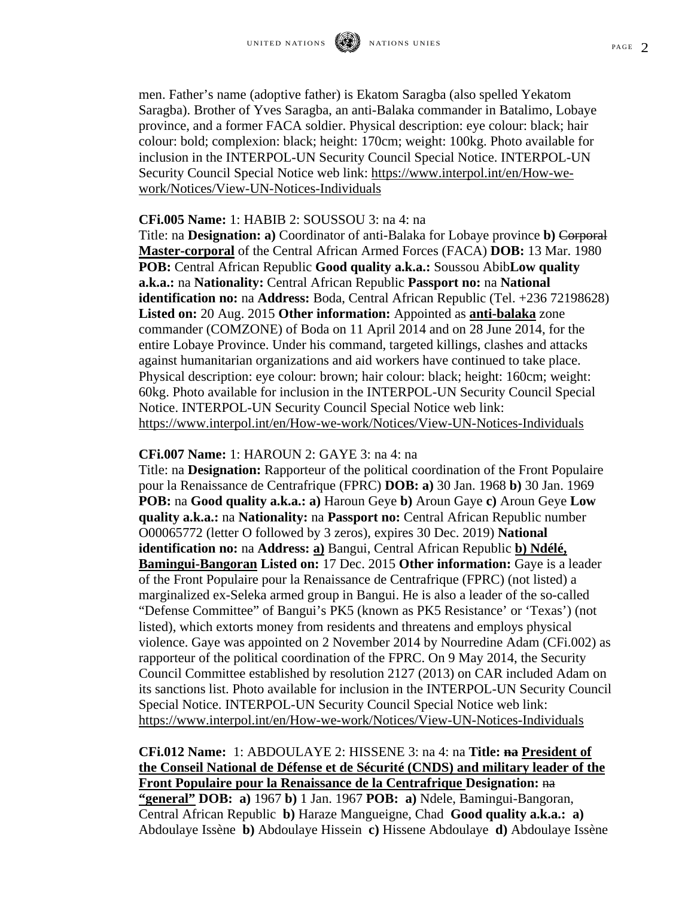PAGE  $2$ 

men. Father's name (adoptive father) is Ekatom Saragba (also spelled Yekatom Saragba). Brother of Yves Saragba, an anti-Balaka commander in Batalimo, Lobaye province, and a former FACA soldier. Physical description: eye colour: black; hair colour: bold; complexion: black; height: 170cm; weight: 100kg. Photo available for inclusion in the INTERPOL-UN Security Council Special Notice. INTERPOL-UN Security Council Special Notice web link: [https://www.interpol.int/en/How-we](https://www.interpol.int/en/How-we-work/Notices/View-UN-Notices-Individuals)[work/Notices/View-UN-Notices-Individuals](https://www.interpol.int/en/How-we-work/Notices/View-UN-Notices-Individuals)

## **CFi.005 Name:** 1: HABIB 2: SOUSSOU 3: na 4: na

Title: na **Designation: a)** Coordinator of anti-Balaka for Lobaye province **b)** Corporal **Master-corporal** of the Central African Armed Forces (FACA) **DOB:** 13 Mar. 1980 **POB:** Central African Republic **Good quality a.k.a.:** Soussou Abib**Low quality a.k.a.:** na **Nationality:** Central African Republic **Passport no:** na **National identification no:** na **Address:** Boda, Central African Republic (Tel. +236 72198628) **Listed on:** 20 Aug. 2015 **Other information:** Appointed as **anti-balaka** zone commander (COMZONE) of Boda on 11 April 2014 and on 28 June 2014, for the entire Lobaye Province. Under his command, targeted killings, clashes and attacks against humanitarian organizations and aid workers have continued to take place. Physical description: eye colour: brown; hair colour: black; height: 160cm; weight: 60kg. Photo available for inclusion in the INTERPOL-UN Security Council Special Notice. INTERPOL-UN Security Council Special Notice web link: <https://www.interpol.int/en/How-we-work/Notices/View-UN-Notices-Individuals>

## **CFi.007 Name:** 1: HAROUN 2: GAYE 3: na 4: na

Title: na **Designation:** Rapporteur of the political coordination of the Front Populaire pour la Renaissance de Centrafrique (FPRC) **DOB: a)** 30 Jan. 1968 **b)** 30 Jan. 1969 **POB:** na **Good quality a.k.a.: a)** Haroun Geye **b)** Aroun Gaye **c)** Aroun Geye **Low quality a.k.a.:** na **Nationality:** na **Passport no:** Central African Republic number O00065772 (letter O followed by 3 zeros), expires 30 Dec. 2019) **National identification no:** na **Address: a)** Bangui, Central African Republic **b) Ndélé, Bamingui-Bangoran Listed on:** 17 Dec. 2015 **Other information:** Gaye is a leader of the Front Populaire pour la Renaissance de Centrafrique (FPRC) (not listed) a marginalized ex-Seleka armed group in Bangui. He is also a leader of the so-called "Defense Committee" of Bangui's PK5 (known as PK5 Resistance' or 'Texas') (not listed), which extorts money from residents and threatens and employs physical violence. Gaye was appointed on 2 November 2014 by Nourredine Adam (CFi.002) as rapporteur of the political coordination of the FPRC. On 9 May 2014, the Security Council Committee established by resolution 2127 (2013) on CAR included Adam on its sanctions list. Photo available for inclusion in the INTERPOL-UN Security Council Special Notice. INTERPOL-UN Security Council Special Notice web link: <https://www.interpol.int/en/How-we-work/Notices/View-UN-Notices-Individuals>

**CFi.012 Name:** 1: ABDOULAYE 2: HISSENE 3: na 4: na **Title: na President of the Conseil National de Défense et de Sécurité (CNDS) and military leader of the Front Populaire pour la Renaissance de la Centrafrique Designation:** na **"general" DOB: a)** 1967 **b)** 1 Jan. 1967 **POB: a)** Ndele, Bamingui-Bangoran, Central African Republic **b)** Haraze Mangueigne, Chad **Good quality a.k.a.: a)** Abdoulaye Issène **b)** Abdoulaye Hissein **c)** Hissene Abdoulaye **d)** Abdoulaye Issène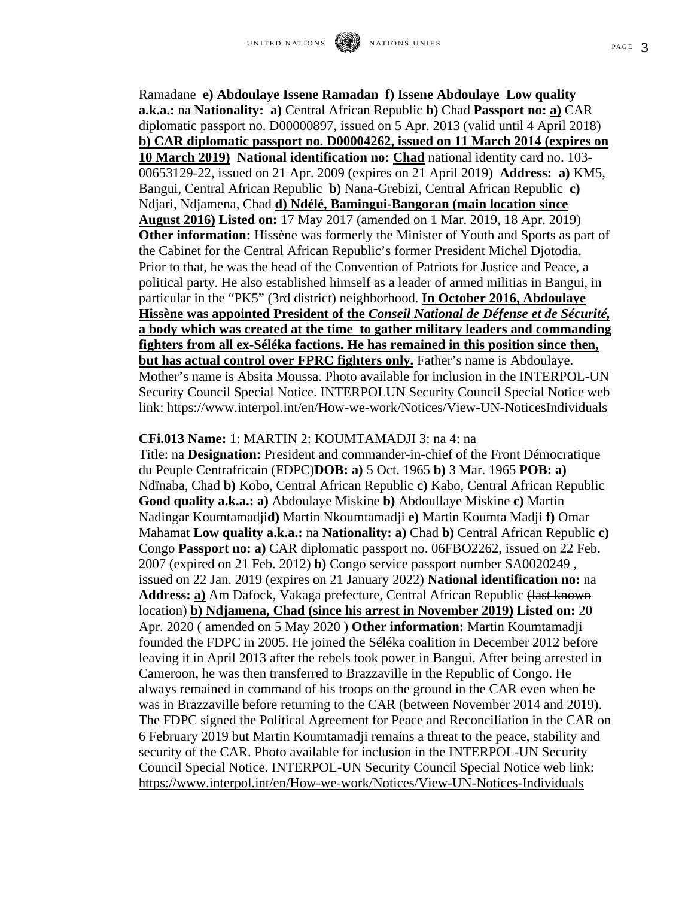Ramadane **e) Abdoulaye Issene Ramadan f) Issene Abdoulaye Low quality a.k.a.:** na **Nationality: a)** Central African Republic **b)** Chad **Passport no: a)** CAR diplomatic passport no. D00000897, issued on 5 Apr. 2013 (valid until 4 April 2018) **b) CAR diplomatic passport no. D00004262, issued on 11 March 2014 (expires on 10 March 2019) National identification no: Chad** national identity card no. 103- 00653129-22, issued on 21 Apr. 2009 (expires on 21 April 2019) **Address: a)** KM5, Bangui, Central African Republic **b)** Nana-Grebizi, Central African Republic **c)**  Ndjari, Ndjamena, Chad **d) Ndélé, Bamingui-Bangoran (main location since August 2016) Listed on:** 17 May 2017 (amended on 1 Mar. 2019, 18 Apr. 2019) **Other information:** Hissène was formerly the Minister of Youth and Sports as part of the Cabinet for the Central African Republic's former President Michel Djotodia. Prior to that, he was the head of the Convention of Patriots for Justice and Peace, a political party. He also established himself as a leader of armed militias in Bangui, in particular in the "PK5" (3rd district) neighborhood. **In October 2016, Abdoulaye Hissène was appointed President of the** *Conseil National de Défense et de Sécurité,*  **a body which was created at the time to gather military leaders and commanding fighters from all ex-Séléka factions. He has remained in this position since then, but has actual control over FPRC fighters only.** Father's name is Abdoulaye. Mother's name is Absita Moussa. Photo available for inclusion in the INTERPOL-UN Security Council Special Notice. INTERPOLUN Security Council Special Notice web link:<https://www.interpol.int/en/How-we-work/Notices/View-UN-NoticesIndividuals>

## **CFi.013 Name:** 1: MARTIN 2: KOUMTAMADJI 3: na 4: na

Title: na **Designation:** President and commander-in-chief of the Front Démocratique du Peuple Centrafricain (FDPC)**DOB: a)** 5 Oct. 1965 **b)** 3 Mar. 1965 **POB: a)**  Ndïnaba, Chad **b)** Kobo, Central African Republic **c)** Kabo, Central African Republic **Good quality a.k.a.: a)** Abdoulaye Miskine **b)** Abdoullaye Miskine **c)** Martin Nadingar Koumtamadji**d)** Martin Nkoumtamadji **e)** Martin Koumta Madji **f)** Omar Mahamat **Low quality a.k.a.:** na **Nationality: a)** Chad **b)** Central African Republic **c)**  Congo **Passport no: a)** CAR diplomatic passport no. 06FBO2262, issued on 22 Feb. 2007 (expired on 21 Feb. 2012) **b)** Congo service passport number SA0020249 , issued on 22 Jan. 2019 (expires on 21 January 2022) **National identification no:** na Address: a) Am Dafock, Vakaga prefecture, Central African Republic (last known location) **b) Ndjamena, Chad (since his arrest in November 2019) Listed on:** 20 Apr. 2020 ( amended on 5 May 2020 ) **Other information:** Martin Koumtamadji founded the FDPC in 2005. He joined the Séléka coalition in December 2012 before leaving it in April 2013 after the rebels took power in Bangui. After being arrested in Cameroon, he was then transferred to Brazzaville in the Republic of Congo. He always remained in command of his troops on the ground in the CAR even when he was in Brazzaville before returning to the CAR (between November 2014 and 2019). The FDPC signed the Political Agreement for Peace and Reconciliation in the CAR on 6 February 2019 but Martin Koumtamadji remains a threat to the peace, stability and security of the CAR. Photo available for inclusion in the INTERPOL-UN Security Council Special Notice. INTERPOL-UN Security Council Special Notice web link: <https://www.interpol.int/en/How-we-work/Notices/View-UN-Notices-Individuals>